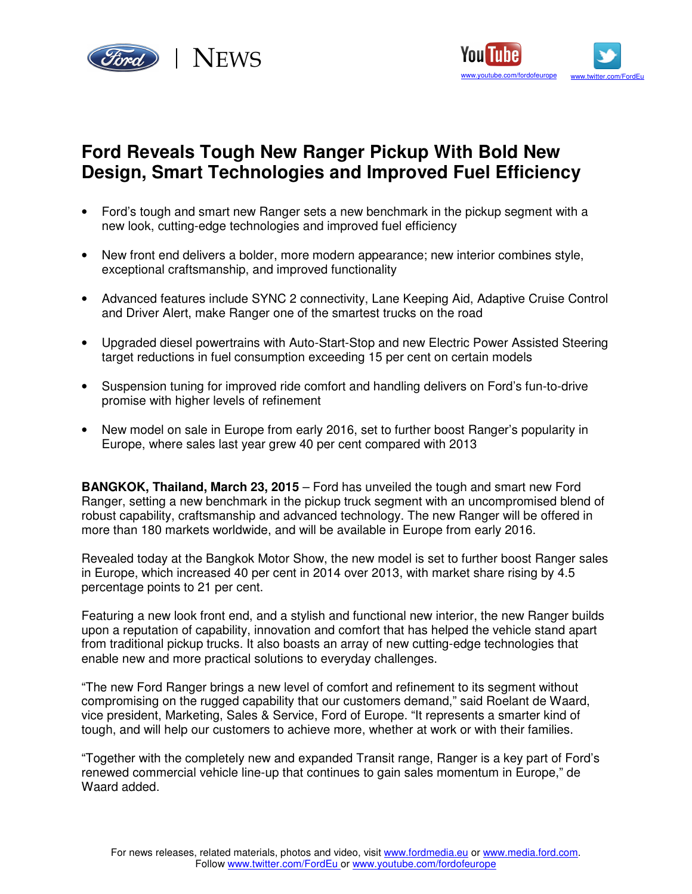



# **Ford Reveals Tough New Ranger Pickup With Bold New Design, Smart Technologies and Improved Fuel Efficiency**

- Ford's tough and smart new Ranger sets a new benchmark in the pickup segment with a new look, cutting-edge technologies and improved fuel efficiency
- New front end delivers a bolder, more modern appearance; new interior combines style, exceptional craftsmanship, and improved functionality
- Advanced features include SYNC 2 connectivity, Lane Keeping Aid, Adaptive Cruise Control and Driver Alert, make Ranger one of the smartest trucks on the road
- Upgraded diesel powertrains with Auto-Start-Stop and new Electric Power Assisted Steering target reductions in fuel consumption exceeding 15 per cent on certain models
- Suspension tuning for improved ride comfort and handling delivers on Ford's fun-to-drive promise with higher levels of refinement
- New model on sale in Europe from early 2016, set to further boost Ranger's popularity in Europe, where sales last year grew 40 per cent compared with 2013

**BANGKOK, Thailand, March 23, 2015** – Ford has unveiled the tough and smart new Ford Ranger, setting a new benchmark in the pickup truck segment with an uncompromised blend of robust capability, craftsmanship and advanced technology. The new Ranger will be offered in more than 180 markets worldwide, and will be available in Europe from early 2016.

Revealed today at the Bangkok Motor Show, the new model is set to further boost Ranger sales in Europe, which increased 40 per cent in 2014 over 2013, with market share rising by 4.5 percentage points to 21 per cent.

Featuring a new look front end, and a stylish and functional new interior, the new Ranger builds upon a reputation of capability, innovation and comfort that has helped the vehicle stand apart from traditional pickup trucks. It also boasts an array of new cutting-edge technologies that enable new and more practical solutions to everyday challenges.

"The new Ford Ranger brings a new level of comfort and refinement to its segment without compromising on the rugged capability that our customers demand," said Roelant de Waard, vice president, Marketing, Sales & Service, Ford of Europe. "It represents a smarter kind of tough, and will help our customers to achieve more, whether at work or with their families.

"Together with the completely new and expanded Transit range, Ranger is a key part of Ford's renewed commercial vehicle line-up that continues to gain sales momentum in Europe," de Waard added.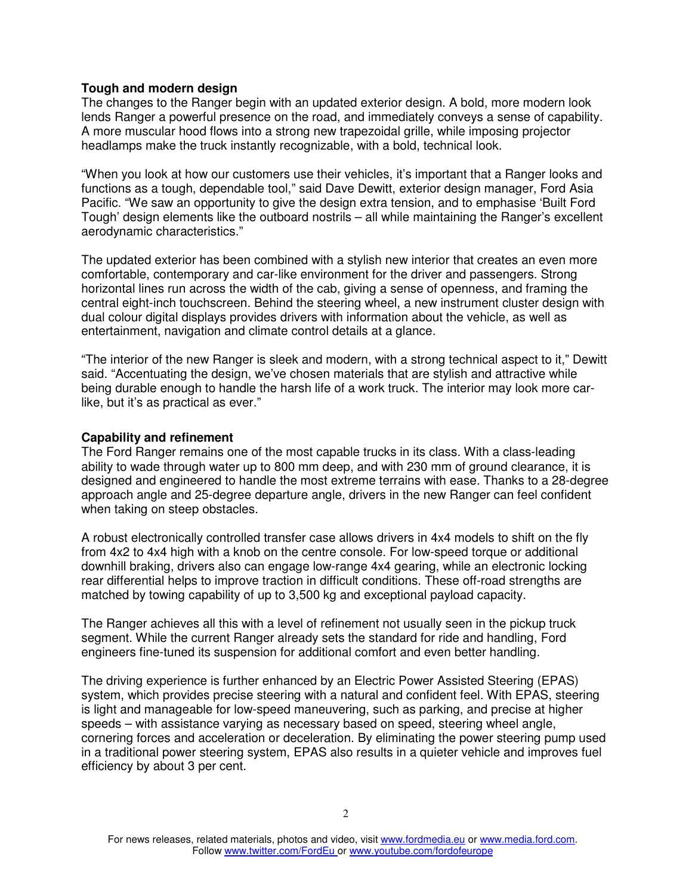# **Tough and modern design**

The changes to the Ranger begin with an updated exterior design. A bold, more modern look lends Ranger a powerful presence on the road, and immediately conveys a sense of capability. A more muscular hood flows into a strong new trapezoidal grille, while imposing projector headlamps make the truck instantly recognizable, with a bold, technical look.

"When you look at how our customers use their vehicles, it's important that a Ranger looks and functions as a tough, dependable tool," said Dave Dewitt, exterior design manager, Ford Asia Pacific. "We saw an opportunity to give the design extra tension, and to emphasise 'Built Ford Tough' design elements like the outboard nostrils – all while maintaining the Ranger's excellent aerodynamic characteristics."

The updated exterior has been combined with a stylish new interior that creates an even more comfortable, contemporary and car-like environment for the driver and passengers. Strong horizontal lines run across the width of the cab, giving a sense of openness, and framing the central eight-inch touchscreen. Behind the steering wheel, a new instrument cluster design with dual colour digital displays provides drivers with information about the vehicle, as well as entertainment, navigation and climate control details at a glance.

"The interior of the new Ranger is sleek and modern, with a strong technical aspect to it," Dewitt said. "Accentuating the design, we've chosen materials that are stylish and attractive while being durable enough to handle the harsh life of a work truck. The interior may look more carlike, but it's as practical as ever."

### **Capability and refinement**

The Ford Ranger remains one of the most capable trucks in its class. With a class-leading ability to wade through water up to 800 mm deep, and with 230 mm of ground clearance, it is designed and engineered to handle the most extreme terrains with ease. Thanks to a 28-degree approach angle and 25-degree departure angle, drivers in the new Ranger can feel confident when taking on steep obstacles.

A robust electronically controlled transfer case allows drivers in 4x4 models to shift on the fly from 4x2 to 4x4 high with a knob on the centre console. For low-speed torque or additional downhill braking, drivers also can engage low-range 4x4 gearing, while an electronic locking rear differential helps to improve traction in difficult conditions. These off-road strengths are matched by towing capability of up to 3,500 kg and exceptional payload capacity.

The Ranger achieves all this with a level of refinement not usually seen in the pickup truck segment. While the current Ranger already sets the standard for ride and handling, Ford engineers fine-tuned its suspension for additional comfort and even better handling.

The driving experience is further enhanced by an Electric Power Assisted Steering (EPAS) system, which provides precise steering with a natural and confident feel. With EPAS, steering is light and manageable for low-speed maneuvering, such as parking, and precise at higher speeds – with assistance varying as necessary based on speed, steering wheel angle, cornering forces and acceleration or deceleration. By eliminating the power steering pump used in a traditional power steering system, EPAS also results in a quieter vehicle and improves fuel efficiency by about 3 per cent.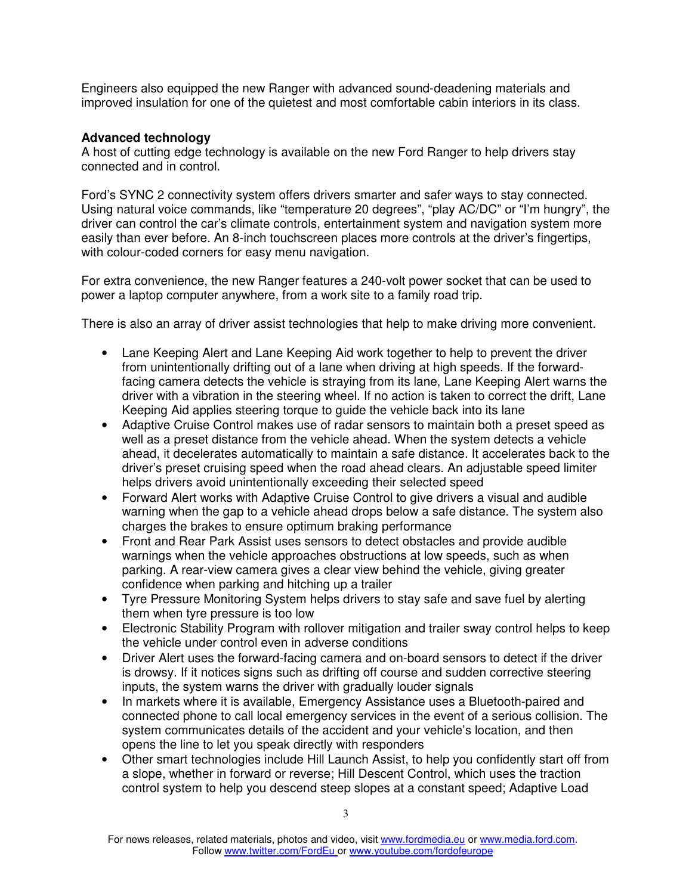Engineers also equipped the new Ranger with advanced sound-deadening materials and improved insulation for one of the quietest and most comfortable cabin interiors in its class.

# **Advanced technology**

A host of cutting edge technology is available on the new Ford Ranger to help drivers stay connected and in control.

Ford's SYNC 2 connectivity system offers drivers smarter and safer ways to stay connected. Using natural voice commands, like "temperature 20 degrees", "play AC/DC" or "I'm hungry", the driver can control the car's climate controls, entertainment system and navigation system more easily than ever before. An 8-inch touchscreen places more controls at the driver's fingertips, with colour-coded corners for easy menu navigation.

For extra convenience, the new Ranger features a 240-volt power socket that can be used to power a laptop computer anywhere, from a work site to a family road trip.

There is also an array of driver assist technologies that help to make driving more convenient.

- Lane Keeping Alert and Lane Keeping Aid work together to help to prevent the driver from unintentionally drifting out of a lane when driving at high speeds. If the forwardfacing camera detects the vehicle is straying from its lane, Lane Keeping Alert warns the driver with a vibration in the steering wheel. If no action is taken to correct the drift, Lane Keeping Aid applies steering torque to guide the vehicle back into its lane
- Adaptive Cruise Control makes use of radar sensors to maintain both a preset speed as well as a preset distance from the vehicle ahead. When the system detects a vehicle ahead, it decelerates automatically to maintain a safe distance. It accelerates back to the driver's preset cruising speed when the road ahead clears. An adjustable speed limiter helps drivers avoid unintentionally exceeding their selected speed
- Forward Alert works with Adaptive Cruise Control to give drivers a visual and audible warning when the gap to a vehicle ahead drops below a safe distance. The system also charges the brakes to ensure optimum braking performance
- Front and Rear Park Assist uses sensors to detect obstacles and provide audible warnings when the vehicle approaches obstructions at low speeds, such as when parking. A rear-view camera gives a clear view behind the vehicle, giving greater confidence when parking and hitching up a trailer
- Tyre Pressure Monitoring System helps drivers to stay safe and save fuel by alerting them when tyre pressure is too low
- Electronic Stability Program with rollover mitigation and trailer sway control helps to keep the vehicle under control even in adverse conditions
- Driver Alert uses the forward-facing camera and on-board sensors to detect if the driver is drowsy. If it notices signs such as drifting off course and sudden corrective steering inputs, the system warns the driver with gradually louder signals
- In markets where it is available, Emergency Assistance uses a Bluetooth-paired and connected phone to call local emergency services in the event of a serious collision. The system communicates details of the accident and your vehicle's location, and then opens the line to let you speak directly with responders
- Other smart technologies include Hill Launch Assist, to help you confidently start off from a slope, whether in forward or reverse; Hill Descent Control, which uses the traction control system to help you descend steep slopes at a constant speed; Adaptive Load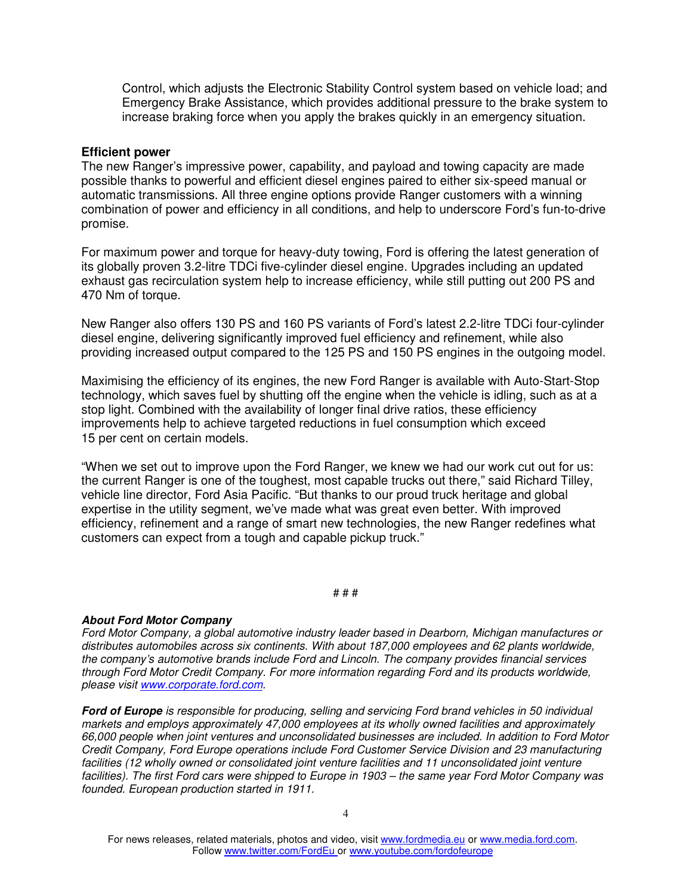Control, which adjusts the Electronic Stability Control system based on vehicle load; and Emergency Brake Assistance, which provides additional pressure to the brake system to increase braking force when you apply the brakes quickly in an emergency situation.

#### **Efficient power**

The new Ranger's impressive power, capability, and payload and towing capacity are made possible thanks to powerful and efficient diesel engines paired to either six-speed manual or automatic transmissions. All three engine options provide Ranger customers with a winning combination of power and efficiency in all conditions, and help to underscore Ford's fun-to-drive promise.

For maximum power and torque for heavy-duty towing, Ford is offering the latest generation of its globally proven 3.2-litre TDCi five-cylinder diesel engine. Upgrades including an updated exhaust gas recirculation system help to increase efficiency, while still putting out 200 PS and 470 Nm of torque.

New Ranger also offers 130 PS and 160 PS variants of Ford's latest 2.2-litre TDCi four-cylinder diesel engine, delivering significantly improved fuel efficiency and refinement, while also providing increased output compared to the 125 PS and 150 PS engines in the outgoing model.

Maximising the efficiency of its engines, the new Ford Ranger is available with Auto-Start-Stop technology, which saves fuel by shutting off the engine when the vehicle is idling, such as at a stop light. Combined with the availability of longer final drive ratios, these efficiency improvements help to achieve targeted reductions in fuel consumption which exceed 15 per cent on certain models.

"When we set out to improve upon the Ford Ranger, we knew we had our work cut out for us: the current Ranger is one of the toughest, most capable trucks out there," said Richard Tilley, vehicle line director, Ford Asia Pacific. "But thanks to our proud truck heritage and global expertise in the utility segment, we've made what was great even better. With improved efficiency, refinement and a range of smart new technologies, the new Ranger redefines what customers can expect from a tough and capable pickup truck."

#### # # #

#### **About Ford Motor Company**

Ford Motor Company, a global automotive industry leader based in Dearborn, Michigan manufactures or distributes automobiles across six continents. With about 187,000 employees and 62 plants worldwide, the company's automotive brands include Ford and Lincoln. The company provides financial services through Ford Motor Credit Company. For more information regarding Ford and its products worldwide, please visit www.corporate.ford.com.

**Ford of Europe** is responsible for producing, selling and servicing Ford brand vehicles in 50 individual markets and employs approximately 47,000 employees at its wholly owned facilities and approximately 66,000 people when joint ventures and unconsolidated businesses are included. In addition to Ford Motor Credit Company, Ford Europe operations include Ford Customer Service Division and 23 manufacturing facilities (12 wholly owned or consolidated joint venture facilities and 11 unconsolidated joint venture facilities). The first Ford cars were shipped to Europe in 1903 – the same year Ford Motor Company was founded. European production started in 1911.